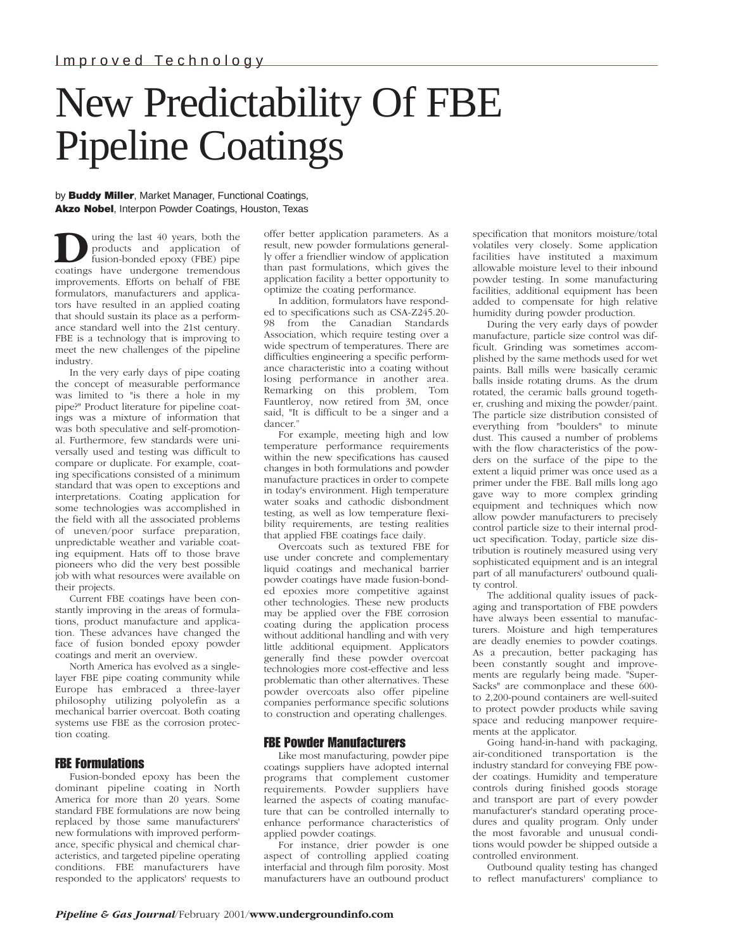# New Predictability Of FBE Pipeline Coatings

by **Buddy Miller**, Market Manager, Functional Coatings, **Akzo Nobel**, Interpon Powder Coatings, Houston, Texas

uring the last 40 years, both the products and application of fusion-bonded epoxy (FBE) pipe coatings have undergone tremendous improvements. Efforts on behalf of FBE formulators, manufacturers and applicators have resulted in an applied coating that should sustain its place as a performance standard well into the 21st century. FBE is a technology that is improving to meet the new challenges of the pipeline industry.

In the very early days of pipe coating the concept of measurable performance was limited to "is there a hole in my pipe?" Product literature for pipeline coatings was a mixture of information that was both speculative and self-promotional. Furthermore, few standards were universally used and testing was difficult to compare or duplicate. For example, coating specifications consisted of a minimum standard that was open to exceptions and interpretations. Coating application for some technologies was accomplished in the field with all the associated problems of uneven/poor surface preparation, unpredictable weather and variable coating equipment. Hats off to those brave pioneers who did the very best possible job with what resources were available on their projects.

Current FBE coatings have been constantly improving in the areas of formulations, product manufacture and application. These advances have changed the face of fusion bonded epoxy powder coatings and merit an overview.

North America has evolved as a singlelayer FBE pipe coating community while Europe has embraced a three-layer philosophy utilizing polyolefin as a mechanical barrier overcoat. Both coating systems use FBE as the corrosion protection coating.

## FBE Formulations

Fusion-bonded epoxy has been the dominant pipeline coating in North America for more than 20 years. Some standard FBE formulations are now being replaced by those same manufacturers' new formulations with improved performance, specific physical and chemical characteristics, and targeted pipeline operating conditions. FBE manufacturers have responded to the applicators' requests to offer better application parameters. As a result, new powder formulations generally offer a friendlier window of application than past formulations, which gives the application facility a better opportunity to optimize the coating performance.

In addition, formulators have responded to specifications such as CSA-Z245.20- 98 from the Canadian Standards Association, which require testing over a wide spectrum of temperatures. There are difficulties engineering a specific performance characteristic into a coating without losing performance in another area. Remarking on this problem, Tom Fauntleroy, now retired from 3M, once said, "It is difficult to be a singer and a dancer."

For example, meeting high and low temperature performance requirements within the new specifications has caused changes in both formulations and powder manufacture practices in order to compete in today's environment. High temperature water soaks and cathodic disbondment testing, as well as low temperature flexibility requirements, are testing realities that applied FBE coatings face daily.

Overcoats such as textured FBE for use under concrete and complementary liquid coatings and mechanical barrier powder coatings have made fusion-bonded epoxies more competitive against other technologies. These new products may be applied over the FBE corrosion coating during the application process without additional handling and with very little additional equipment. Applicators generally find these powder overcoat technologies more cost-effective and less problematic than other alternatives. These powder overcoats also offer pipeline companies performance specific solutions to construction and operating challenges.

## FBE Powder Manufacturers

Like most manufacturing, powder pipe coatings suppliers have adopted internal programs that complement customer requirements. Powder suppliers have learned the aspects of coating manufacture that can be controlled internally to enhance performance characteristics of applied powder coatings.

For instance, drier powder is one aspect of controlling applied coating interfacial and through film porosity. Most manufacturers have an outbound product specification that monitors moisture/total volatiles very closely. Some application facilities have instituted a maximum allowable moisture level to their inbound powder testing. In some manufacturing facilities, additional equipment has been added to compensate for high relative humidity during powder production.

During the very early days of powder manufacture, particle size control was difficult. Grinding was sometimes accomplished by the same methods used for wet paints. Ball mills were basically ceramic balls inside rotating drums. As the drum rotated, the ceramic balls ground together, crushing and mixing the powder/paint. The particle size distribution consisted of everything from "boulders" to minute dust. This caused a number of problems with the flow characteristics of the powders on the surface of the pipe to the extent a liquid primer was once used as a primer under the FBE. Ball mills long ago gave way to more complex grinding equipment and techniques which now allow powder manufacturers to precisely control particle size to their internal product specification. Today, particle size distribution is routinely measured using very sophisticated equipment and is an integral part of all manufacturers' outbound quality control.

The additional quality issues of packaging and transportation of FBE powders have always been essential to manufacturers. Moisture and high temperatures are deadly enemies to powder coatings. As a precaution, better packaging has been constantly sought and improvements are regularly being made. "Super-Sacks" are commonplace and these 600 to 2,200-pound containers are well-suited to protect powder products while saving space and reducing manpower requirements at the applicator.

Going hand-in-hand with packaging, air-conditioned transportation is the industry standard for conveying FBE powder coatings. Humidity and temperature controls during finished goods storage and transport are part of every powder manufacturer's standard operating procedures and quality program. Only under the most favorable and unusual conditions would powder be shipped outside a controlled environment.

Outbound quality testing has changed to reflect manufacturers' compliance to